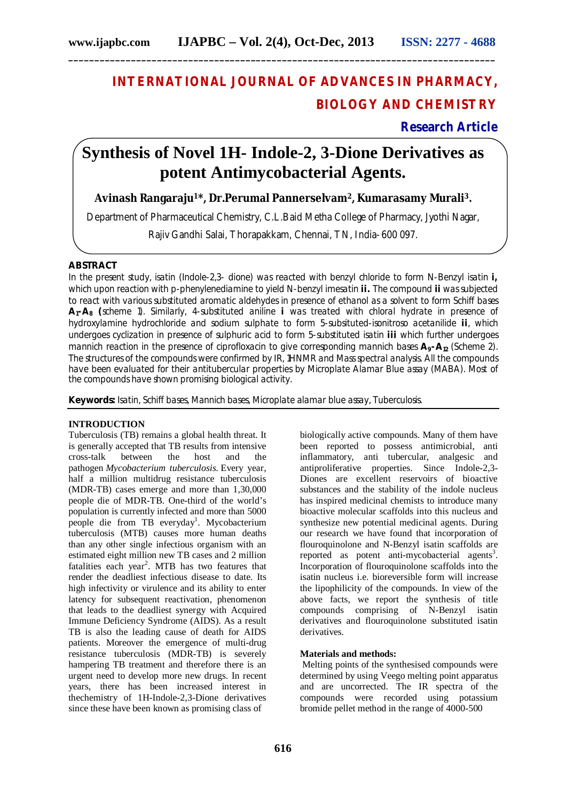# **INTERNATIONAL JOURNAL OF ADVANCES IN PHARMACY, BIOLOGY AND CHEMISTRY**

# **Research Article**

# **Synthesis of Novel 1H- Indole-2, 3-Dione Derivatives as potent Antimycobacterial Agents.**

## **Avinash Rangaraju1\*, Dr.Perumal Pannerselvam2, Kumarasamy Murali3***.*

Department of Pharmaceutical Chemistry, C.L.Baid Metha College of Pharmacy, Jyothi Nagar,

Rajiv Gandhi Salai, Thorapakkam, Chennai, TN, India- 600 097.

## **ABSTRACT**

In the present study, isatin (Indole-2,3- dione) was reacted with benzyl chloride to form N-Benzyl isatin **i,** which upon reaction with *p*-phenylenediamine to yield N-benzyl imesatin **ii.** The compound **ii** was subjected to react with various substituted aromatic aldehydes in presence of ethanol as a solvent to form Schiff bases **A1-A<sup>8</sup> (**scheme 1). Similarly, 4-substituted aniline **i** was treated with chloral hydrate in presence of hydroxylamine hydrochloride and sodium sulphate to form 5-subsituted-isonitroso acetanilide **ii**, which undergoes cyclization in presence of sulphuric acid to form 5-substituted isatin **iii** which further undergoes mannich reaction in the presence of ciprofloxacin to give corresponding mannich bases **A9-A12** (Scheme 2). The structures of the compounds were confirmed by IR, 1HNMR and Mass spectral analysis. All the compounds have been evaluated for their antitubercular properties by Microplate Alamar Blue assay (MABA). Most of the compounds have shown promising biological activity.

**Keywords:** Isatin, Schiff bases, Mannich bases, Microplate alamar blue assay, Tuberculosis.

### **INTRODUCTION**

Tuberculosis (TB) remains a global health threat. It is generally accepted that TB results from intensive cross-talk between the host and the pathogen *Mycobacterium tuberculosis*. Every year, half a million multidrug resistance tuberculosis (MDR-TB) cases emerge and more than 1,30,000 people die of MDR-TB. One-third of the world's population is currently infected and more than 5000 people die from TB everyday<sup>1</sup>. Mycobacterium tuberculosis (MTB) causes more human deaths than any other single infectious organism with an estimated eight million new TB cases and 2 million fatalities each year<sup>2</sup>. MTB has two features that render the deadliest infectious disease to date. Its high infectivity or virulence and its ability to enter latency for subsequent reactivation, phenomenon that leads to the deadliest synergy with Acquired Immune Deficiency Syndrome (AIDS). As a result TB is also the leading cause of death for AIDS patients. Moreover the emergence of multi-drug resistance tuberculosis (MDR-TB) is severely hampering TB treatment and therefore there is an urgent need to develop more new drugs. In recent years, there has been increased interest in thechemistry of 1H-Indole-2,3-Dione derivatives since these have been known as promising class of

biologically active compounds. Many of them have been reported to possess antimicrobial, anti inflammatory, anti tubercular, analgesic and antiproliferative properties. Since Indole-2,3- Diones are excellent reservoirs of bioactive substances and the stability of the indole nucleus has inspired medicinal chemists to introduce many bioactive molecular scaffolds into this nucleus and synthesize new potential medicinal agents. During our research we have found that incorporation of flouroquinolone and N-Benzyl isatin scaffolds are reported as potent anti-mycobacterial agents<sup>3</sup>. Incorporation of flouroquinolone scaffolds into the isatin nucleus i.e. bioreversible form will increase the lipophilicity of the compounds. In view of the above facts, we report the synthesis of title compounds comprising of N-Benzyl isatin derivatives and flouroquinolone substituted isatin derivatives.

## **Materials and methods:**

Melting points of the synthesised compounds were determined by using Veego melting point apparatus and are uncorrected. The IR spectra of the compounds were recorded using potassium bromide pellet method in the range of 4000-500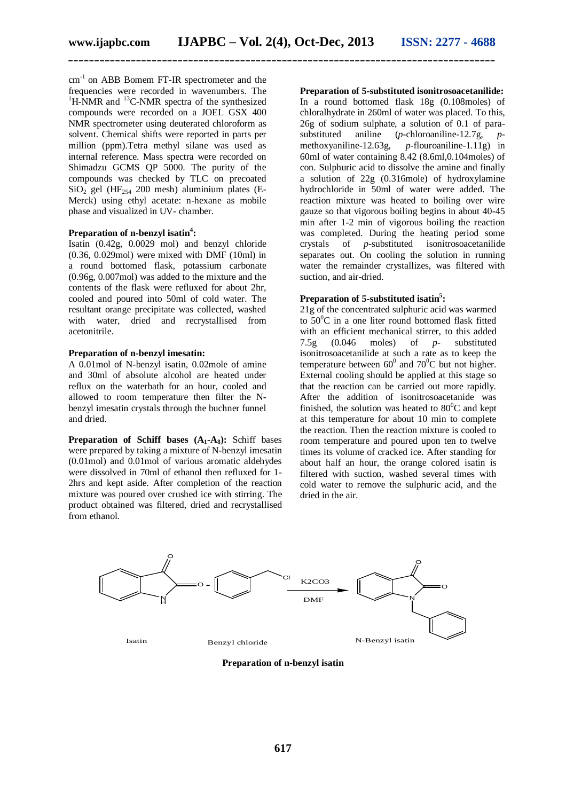cm<sup>-1</sup> on ABB Bomem FT-IR spectrometer and the frequencies were recorded in wavenumbers. The  ${}^{1}$ H-NMR and  ${}^{13}$ C-NMR spectra of the synthesized compounds were recorded on a JOEL GSX 400 NMR spectrometer using deuterated chloroform as solvent. Chemical shifts were reported in parts per million (ppm).Tetra methyl silane was used as internal reference. Mass spectra were recorded on Shimadzu GCMS QP 5000. The purity of the compounds was checked by TLC on precoated SiO<sub>2</sub> gel (HF<sub>254</sub> 200 mesh) aluminium plates (E-Merck) using ethyl acetate: n-hexane as mobile phase and visualized in UV- chamber.

## **Preparation of n-benzyl isatin<sup>4</sup> :**

Isatin (0.42g, 0.0029 mol) and benzyl chloride (0.36, 0.029mol) were mixed with DMF (10ml) in a round bottomed flask, potassium carbonate (0.96g, 0.007mol) was added to the mixture and the contents of the flask were refluxed for about 2hr, cooled and poured into 50ml of cold water. The resultant orange precipitate was collected, washed with water, dried and recrystallised from acetonitrile.

#### **Preparation of n-benzyl imesatin:**

A 0.01mol of N-benzyl isatin, 0.02mole of amine and 30ml of absolute alcohol are heated under reflux on the waterbath for an hour, cooled and allowed to room temperature then filter the Nbenzyl imesatin crystals through the buchner funnel and dried.

**Preparation of Schiff bases (A1-A8):** Schiff bases were prepared by taking a mixture of N-benzyl imesatin (0.01mol) and 0.01mol of various aromatic aldehydes were dissolved in 70ml of ethanol then refluxed for 1- 2hrs and kept aside. After completion of the reaction mixture was poured over crushed ice with stirring. The product obtained was filtered, dried and recrystallised from ethanol.

**Preparation of 5-substituted isonitrosoacetanilide:** In a round bottomed flask 18g (0.108moles) of chloralhydrate in 260ml of water was placed. To this, 26g of sodium sulphate, a solution of 0.1 of parasubstituted aniline (*p*-chloroaniline-12.7g, *p*-<br>methoxyaniline-12.63g, *p*-flouroaniline-1.11g) in  $p$ -flouroaniline-1.11g) in 60ml of water containing 8.42 (8.6ml,0.104moles) of con. Sulphuric acid to dissolve the amine and finally a solution of 22g (0.316mole) of hydroxylamine hydrochloride in 50ml of water were added. The reaction mixture was heated to boiling over wire gauze so that vigorous boiling begins in about 40-45 min after 1-2 min of vigorous boiling the reaction was completed. During the heating period some crystals of *p*-substituted isonitrosoacetanilide separates out. On cooling the solution in running water the remainder crystallizes, was filtered with suction, and air-dried.

## **Preparation of 5-substituted isatin<sup>5</sup> :**

21g of the concentrated sulphuric acid was warmed to  $50^{\circ}$ C in a one liter round bottomed flask fitted with an efficient mechanical stirrer, to this added  $7.5g$  (0.046 moles) of  $p$ - substituted 7.5g (0.046 moles) of *p*- substituted isonitrosoacetanilide at such a rate as to keep the temperature between  $60^0$  and  $70^0$ C but not higher. External cooling should be applied at this stage so that the reaction can be carried out more rapidly. After the addition of isonitrosoacetanide was finished, the solution was heated to  $80^{\circ}$ C and kept at this temperature for about 10 min to complete the reaction. Then the reaction mixture is cooled to room temperature and poured upon ten to twelve times its volume of cracked ice. After standing for about half an hour, the orange colored isatin is filtered with suction, washed several times with cold water to remove the sulphuric acid, and the dried in the air.



**Preparation of n-benzyl isatin**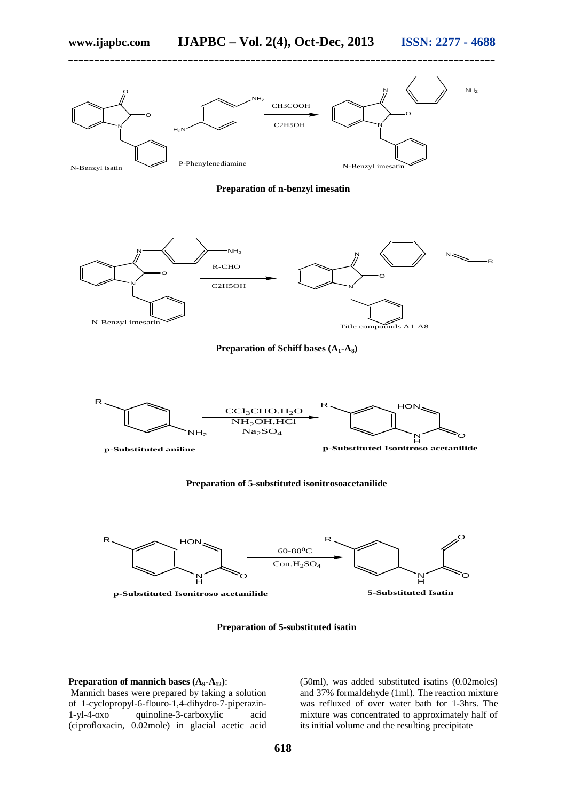



## **Preparation of mannich bases (A9-A12)**:

Mannich bases were prepared by taking a solution of 1-cyclopropyl-6-flouro-1,4-dihydro-7-piperazin-1-yl-4-oxo quinoline-3-carboxylic acid (ciprofloxacin, 0.02mole) in glacial acetic acid (50ml), was added substituted isatins (0.02moles) and 37% formaldehyde (1ml). The reaction mixture was refluxed of over water bath for 1-3hrs. The mixture was concentrated to approximately half of its initial volume and the resulting precipitate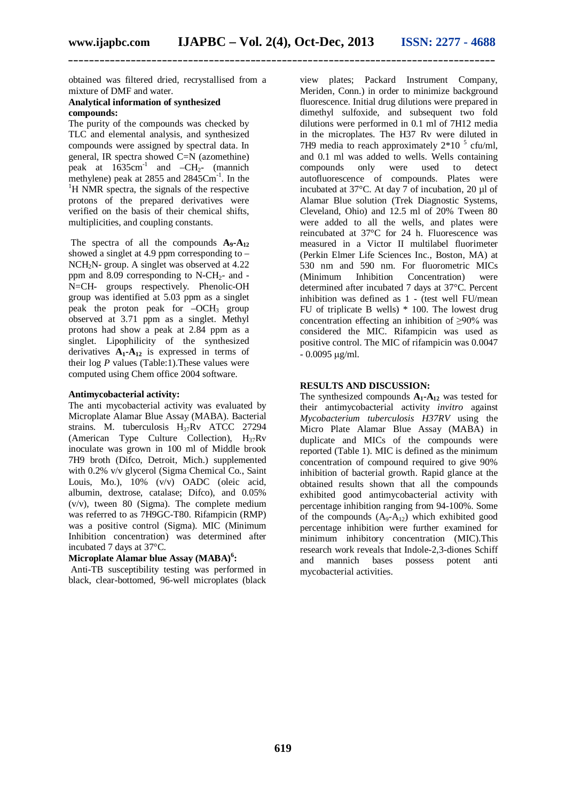obtained was filtered dried, recrystallised from a mixture of DMF and water.

### **Analytical information of synthesized compounds:**

The purity of the compounds was checked by TLC and elemental analysis, and synthesized compounds were assigned by spectral data. In general, IR spectra showed C=N (azomethine) peak at  $1635 \text{cm}^{-1}$  and  $-\text{CH}_2$ - (mannich methylene) peak at 2855 and 2845Cm<sup>-1</sup>. In the  ${}^{1}$ H NMR spectra, the signals of the respective protons of the prepared derivatives were verified on the basis of their chemical shifts, multiplicities, and coupling constants.

The spectra of all the compounds  $A_9 - A_{12}$ showed a singlet at 4.9 ppm corresponding to  $-$ NCH2N- group. A singlet was observed at 4.22 ppm and  $8.09$  corresponding to N-CH<sub>2</sub>- and -N=CH- groups respectively. Phenolic-OH group was identified at 5.03 ppm as a singlet peak the proton peak for  $-OCH<sub>3</sub>$  group observed at 3.71 ppm as a singlet. Methyl protons had show a peak at 2.84 ppm as a singlet. Lipophilicity of the synthesized derivatives  $\mathbf{A}_1 \cdot \mathbf{A}_{12}$  is expressed in terms of their log *P* values (Table:1).These values were computed using Chem office 2004 software.

### **Antimycobacterial activity:**

The anti mycobacterial activity was evaluated by Microplate Alamar Blue Assay (MABA). Bacterial strains. M. tuberculosis H<sub>37</sub>Rv ATCC 27294 (American Type Culture Collection),  $H_{37}Rv$ inoculate was grown in 100 ml of Middle brook 7H9 broth (Difco, Detroit, Mich.) supplemented with 0.2% v/v glycerol (Sigma Chemical Co., Saint Louis, Mo.), 10% (v/v) OADC (oleic acid, albumin, dextrose, catalase; Difco), and 0.05% (v/v), tween 80 (Sigma). The complete medium was referred to as 7H9GC-T80. Rifampicin (RMP) was a positive control (Sigma). MIC (Minimum Inhibition concentration) was determined after incubated 7 days at 37°C.

## **Microplate Alamar blue Assay (MABA)<sup>6</sup> :**

Anti-TB susceptibility testing was performed in black, clear-bottomed, 96-well microplates (black

view plates; Packard Instrument Company, Meriden, Conn.) in order to minimize background fluorescence. Initial drug dilutions were prepared in dimethyl sulfoxide, and subsequent two fold dilutions were performed in 0.1 ml of 7H12 media in the microplates. The H37 Rv were diluted in 7H9 media to reach approximately  $2*10^{-5}$  cfu/ml, and 0.1 ml was added to wells. Wells containing<br>compounds only were used to detect compounds only were used to detect autofluorescence of compounds. Plates were incubated at 37°C. At day 7 of incubation, 20 µl of Alamar Blue solution (Trek Diagnostic Systems, Cleveland, Ohio) and 12.5 ml of 20% Tween 80 were added to all the wells, and plates were reincubated at 37°C for 24 h. Fluorescence was measured in a Victor II multilabel fluorimeter (Perkin Elmer Life Sciences Inc., Boston, MA) at 530 nm and 590 nm. For fluorometric MICs (Minimum Inhibition Concentration) were determined after incubated 7 days at 37°C. Percent inhibition was defined as 1 - (test well FU/mean FU of triplicate B wells) \* 100. The lowest drug concentration effecting an inhibition of ≥90% was considered the MIC. Rifampicin was used as positive control. The MIC of rifampicin was 0.0047  $-0.0095$  ug/ml.

## **RESULTS AND DISCUSSION:**

The synthesized compounds  $A_1 - A_{12}$  was tested for their antimycobacterial activity *invitro* against *Mycobacterium tuberculosis H37RV* using the Micro Plate Alamar Blue Assay (MABA) in duplicate and MICs of the compounds were reported (Table 1). MIC is defined as the minimum concentration of compound required to give 90% inhibition of bacterial growth. Rapid glance at the obtained results shown that all the compounds exhibited good antimycobacterial activity with percentage inhibition ranging from 94-100%. Some of the compounds  $(A_9-A_{12})$  which exhibited good percentage inhibition were further examined for minimum inhibitory concentration (MIC).This research work reveals that Indole-2,3-diones Schiff and mannich bases possess potent anti mycobacterial activities.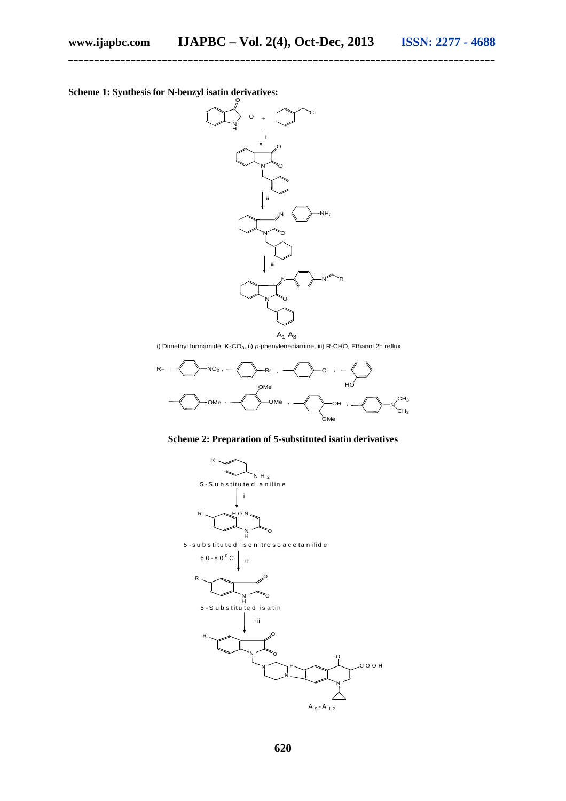

i) Dimethyl formamide, K<sub>2</sub>CO<sub>3</sub>, ii) *p*-phenylenediamine, iii) R-CHO, Ethanol 2h reflux



**Scheme 2: Preparation of 5-substituted isatin derivatives**



**620**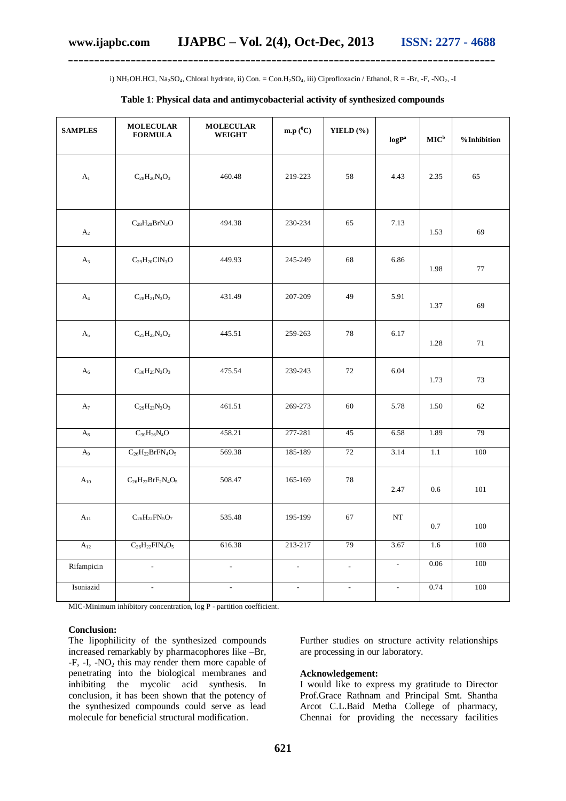i) NH<sub>2</sub>OH.HCl, Na<sub>2</sub>SO<sub>4</sub>, Chloral hydrate, ii) Con. = Con.H<sub>2</sub>SO<sub>4</sub>, iii) Ciprofloxacin / Ethanol, R = -Br, -F, -NO<sub>2</sub>, -I

## **Table 1**: **Physical data and antimycobacterial activity of synthesized compounds**

| <b>SAMPLES</b> | <b>MOLECULAR</b><br><b>FORMULA</b>           | <b>MOLECULAR</b><br><b>WEIGHT</b> | $\mathbf{m}.\mathbf{p} (^0\mathbf{C})$ | YIELD $(\% )$       | logP <sup>a</sup>   | $\mathbf{MIC}^{\rm b}$ | %Inhibition |
|----------------|----------------------------------------------|-----------------------------------|----------------------------------------|---------------------|---------------------|------------------------|-------------|
| A <sub>1</sub> | $C_{28}H_{20}N_{4}O_{3}$                     | 460.48                            | 219-223                                | 58                  | 4.43                | 2.35                   | 65          |
| A <sub>2</sub> | $C_{28}H_{20}BrN_3O$                         | 494.38                            | 230-234                                | 65                  | 7.13                | 1.53                   | 69          |
| $A_3$          | $C_{29}H_{20}CIN_3O$                         | 449.93                            | 245-249                                | 68                  | 6.86                | 1.98                   | 77          |
| A <sub>4</sub> | $\rm{C}_{28}\rm{H}_{21}\rm{N}_{3}\rm{O}_{2}$ | 431.49                            | 207-209                                | 49                  | 5.91                | 1.37                   | 69          |
| A <sub>5</sub> | $C_{25}H_{23}N_3O_2$                         | 445.51                            | 259-263                                | 78                  | 6.17                | 1.28                   | 71          |
| $A_6$          | $C_{30}H_{25}N_3O_3$                         | 475.54                            | 239-243                                | 72                  | 6.04                | 1.73                   | 73          |
| A <sub>7</sub> | $C_{29}H_{23}N_3O_3$                         | 461.51                            | 269-273                                | 60                  | 5.78                | 1.50                   | 62          |
| $A_8$          | $C_{30}H_{26}N_{4}O$                         | 458.21                            | 277-281                                | 45                  | 6.58                | 1.89                   | 79          |
| A <sub>9</sub> | $C_{26}H_{22}BrFN_4O_5$                      | 569.38                            | 185-189                                | $72\,$              | 3.14                | $1.1\,$                | $100\,$     |
| $A_{10}$       | $C_{26}H_{22}BrF_2N_4O_5$                    | 508.47                            | 165-169                                | 78                  | 2.47                | 0.6                    | 101         |
| $A_{11}$       | $C_{26}H_{22}FN_5O_7$                        | 535.48                            | 195-199                                | 67                  | NT                  | 0.7                    | 100         |
| $A_{12}$       | $C_{26}H_{22}FIN_4O_5$                       | 616.38                            | 213-217                                | 79                  | 3.67                | 1.6                    | 100         |
| Rifampicin     | $\overline{\phantom{a}}$                     | $\mathbb{L}$                      | $\mathcal{L}_{\mathcal{A}}$            | $\bar{\phantom{a}}$ | $\bar{\phantom{a}}$ | 0.06                   | 100         |
| Isoniazid      |                                              |                                   |                                        | $\blacksquare$      | $\blacksquare$      | 0.74                   | 100         |

MIC-Minimum inhibitory concentration, log P - partition coefficient.

#### **Conclusion:**

The lipophilicity of the synthesized compounds increased remarkably by pharmacophores like –Br,  $-F$ ,  $-I$ ,  $-NO<sub>2</sub>$  this may render them more capable of penetrating into the biological membranes and inhibiting the mycolic acid synthesis. In conclusion, it has been shown that the potency of the synthesized compounds could serve as lead molecule for beneficial structural modification.

Further studies on structure activity relationships are processing in our laboratory.

#### **Acknowledgement:**

I would like to express my gratitude to Director Prof.Grace Rathnam and Principal Smt. Shantha Arcot C.L.Baid Metha College of pharmacy, Chennai for providing the necessary facilities